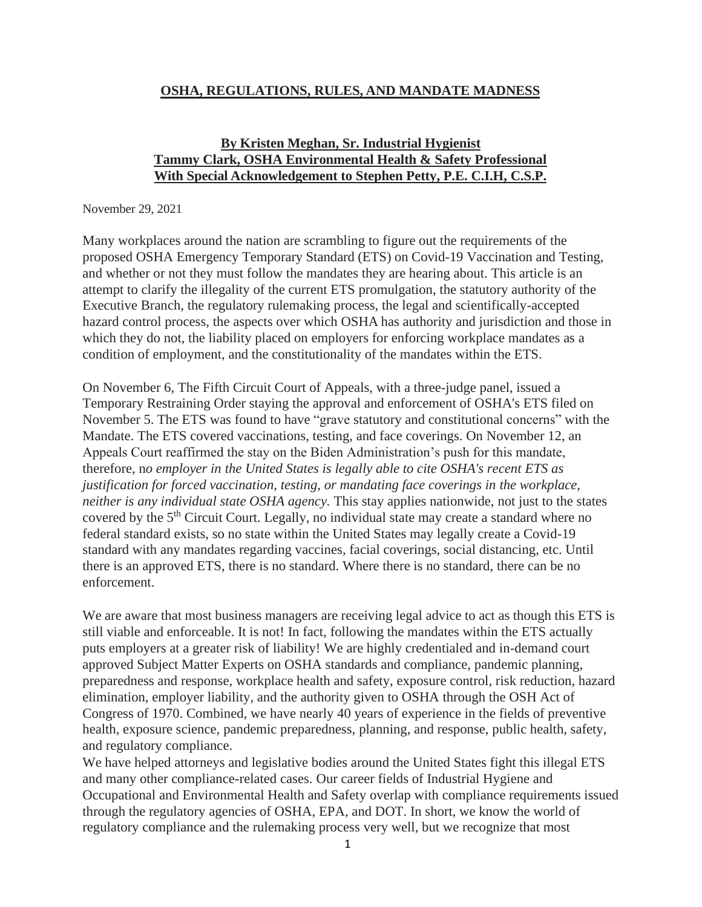### **OSHA, REGULATIONS, RULES, AND MANDATE MADNESS**

### **By Kristen Meghan, Sr. Industrial Hygienist Tammy Clark, OSHA Environmental Health & Safety Professional With Special Acknowledgement to Stephen Petty, P.E. C.I.H, C.S.P.**

#### November 29, 2021

Many workplaces around the nation are scrambling to figure out the requirements of the proposed OSHA Emergency Temporary Standard (ETS) on Covid-19 Vaccination and Testing, and whether or not they must follow the mandates they are hearing about. This article is an attempt to clarify the illegality of the current ETS promulgation, the statutory authority of the Executive Branch, the regulatory rulemaking process, the legal and scientifically-accepted hazard control process, the aspects over which OSHA has authority and jurisdiction and those in which they do not, the liability placed on employers for enforcing workplace mandates as a condition of employment, and the constitutionality of the mandates within the ETS.

On November 6, The Fifth Circuit Court of Appeals, with a three-judge panel, issued a Temporary Restraining Order staying the approval and enforcement of OSHA's ETS filed on November 5. The ETS was found to have "grave statutory and constitutional concerns" with the Mandate. The ETS covered vaccinations, testing, and face coverings. On November 12, an Appeals Court reaffirmed the stay on the Biden Administration's push for this mandate, therefore, n*o employer in the United States is legally able to cite OSHA's recent ETS as justification for forced vaccination, testing, or mandating face coverings in the workplace, neither is any individual state OSHA agency.* This stay applies nationwide, not just to the states covered by the 5<sup>th</sup> Circuit Court. Legally, no individual state may create a standard where no federal standard exists, so no state within the United States may legally create a Covid-19 standard with any mandates regarding vaccines, facial coverings, social distancing, etc. Until there is an approved ETS, there is no standard. Where there is no standard, there can be no enforcement.

We are aware that most business managers are receiving legal advice to act as though this ETS is still viable and enforceable. It is not! In fact, following the mandates within the ETS actually puts employers at a greater risk of liability! We are highly credentialed and in-demand court approved Subject Matter Experts on OSHA standards and compliance, pandemic planning, preparedness and response, workplace health and safety, exposure control, risk reduction, hazard elimination, employer liability, and the authority given to OSHA through the OSH Act of Congress of 1970. Combined, we have nearly 40 years of experience in the fields of preventive health, exposure science, pandemic preparedness, planning, and response, public health, safety, and regulatory compliance.

We have helped attorneys and legislative bodies around the United States fight this illegal ETS and many other compliance-related cases. Our career fields of Industrial Hygiene and Occupational and Environmental Health and Safety overlap with compliance requirements issued through the regulatory agencies of OSHA, EPA, and DOT. In short, we know the world of regulatory compliance and the rulemaking process very well, but we recognize that most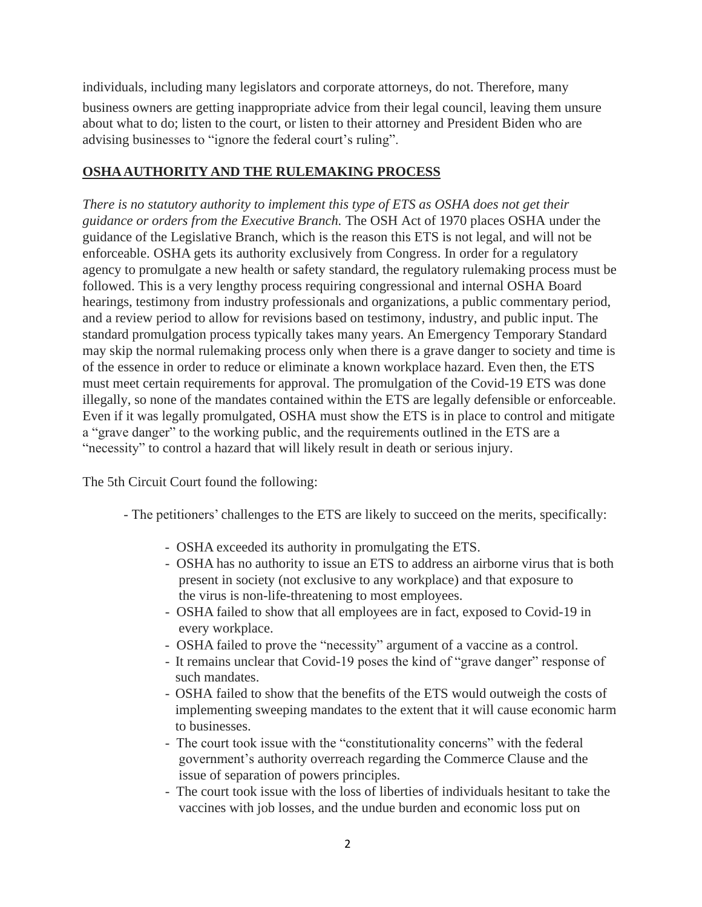individuals, including many legislators and corporate attorneys, do not. Therefore, many business owners are getting inappropriate advice from their legal council, leaving them unsure about what to do; listen to the court, or listen to their attorney and President Biden who are advising businesses to "ignore the federal court's ruling".

## **OSHAAUTHORITY AND THE RULEMAKING PROCESS**

*There is no statutory authority to implement this type of ETS as OSHA does not get their guidance or orders from the Executive Branch.* The OSH Act of 1970 places OSHA under the guidance of the Legislative Branch, which is the reason this ETS is not legal, and will not be enforceable. OSHA gets its authority exclusively from Congress. In order for a regulatory agency to promulgate a new health or safety standard, the regulatory rulemaking process must be followed. This is a very lengthy process requiring congressional and internal OSHA Board hearings, testimony from industry professionals and organizations, a public commentary period, and a review period to allow for revisions based on testimony, industry, and public input. The standard promulgation process typically takes many years. An Emergency Temporary Standard may skip the normal rulemaking process only when there is a grave danger to society and time is of the essence in order to reduce or eliminate a known workplace hazard. Even then, the ETS must meet certain requirements for approval. The promulgation of the Covid-19 ETS was done illegally, so none of the mandates contained within the ETS are legally defensible or enforceable. Even if it was legally promulgated, OSHA must show the ETS is in place to control and mitigate a "grave danger" to the working public, and the requirements outlined in the ETS are a "necessity" to control a hazard that will likely result in death or serious injury.

The 5th Circuit Court found the following:

- The petitioners' challenges to the ETS are likely to succeed on the merits, specifically:
	- OSHA exceeded its authority in promulgating the ETS.
	- OSHA has no authority to issue an ETS to address an airborne virus that is both present in society (not exclusive to any workplace) and that exposure to the virus is non-life-threatening to most employees.
	- OSHA failed to show that all employees are in fact, exposed to Covid-19 in every workplace.
	- OSHA failed to prove the "necessity" argument of a vaccine as a control.
	- It remains unclear that Covid-19 poses the kind of "grave danger" response of such mandates.
	- OSHA failed to show that the benefits of the ETS would outweigh the costs of implementing sweeping mandates to the extent that it will cause economic harm to businesses.
	- The court took issue with the "constitutionality concerns" with the federal government's authority overreach regarding the Commerce Clause and the issue of separation of powers principles.
	- The court took issue with the loss of liberties of individuals hesitant to take the vaccines with job losses, and the undue burden and economic loss put on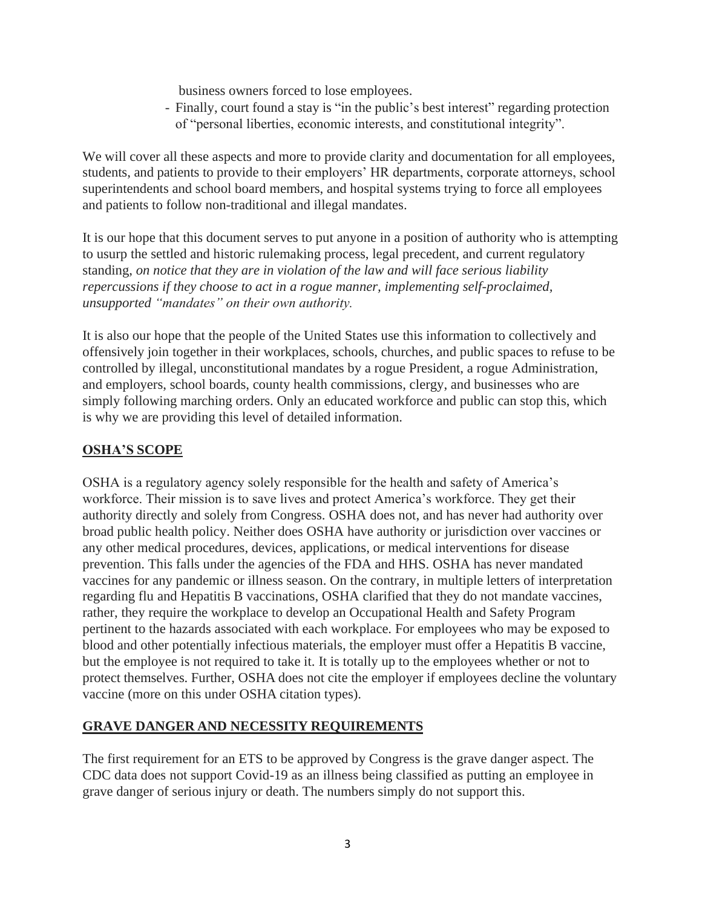business owners forced to lose employees.

- Finally, court found a stay is "in the public's best interest" regarding protection of "personal liberties, economic interests, and constitutional integrity".

We will cover all these aspects and more to provide clarity and documentation for all employees, students, and patients to provide to their employers' HR departments, corporate attorneys, school superintendents and school board members, and hospital systems trying to force all employees and patients to follow non-traditional and illegal mandates.

It is our hope that this document serves to put anyone in a position of authority who is attempting to usurp the settled and historic rulemaking process, legal precedent, and current regulatory standing, *on notice that they are in violation of the law and will face serious liability repercussions if they choose to act in a rogue manner, implementing self-proclaimed, unsupported "mandates" on their own authority.*

It is also our hope that the people of the United States use this information to collectively and offensively join together in their workplaces, schools, churches, and public spaces to refuse to be controlled by illegal, unconstitutional mandates by a rogue President, a rogue Administration, and employers, school boards, county health commissions, clergy, and businesses who are simply following marching orders. Only an educated workforce and public can stop this, which is why we are providing this level of detailed information.

## **OSHA'S SCOPE**

OSHA is a regulatory agency solely responsible for the health and safety of America's workforce. Their mission is to save lives and protect America's workforce. They get their authority directly and solely from Congress. OSHA does not, and has never had authority over broad public health policy. Neither does OSHA have authority or jurisdiction over vaccines or any other medical procedures, devices, applications, or medical interventions for disease prevention. This falls under the agencies of the FDA and HHS. OSHA has never mandated vaccines for any pandemic or illness season. On the contrary, in multiple letters of interpretation regarding flu and Hepatitis B vaccinations, OSHA clarified that they do not mandate vaccines, rather, they require the workplace to develop an Occupational Health and Safety Program pertinent to the hazards associated with each workplace. For employees who may be exposed to blood and other potentially infectious materials, the employer must offer a Hepatitis B vaccine, but the employee is not required to take it. It is totally up to the employees whether or not to protect themselves. Further, OSHA does not cite the employer if employees decline the voluntary vaccine (more on this under OSHA citation types).

## **GRAVE DANGER AND NECESSITY REQUIREMENTS**

The first requirement for an ETS to be approved by Congress is the grave danger aspect. The CDC data does not support Covid-19 as an illness being classified as putting an employee in grave danger of serious injury or death. The numbers simply do not support this.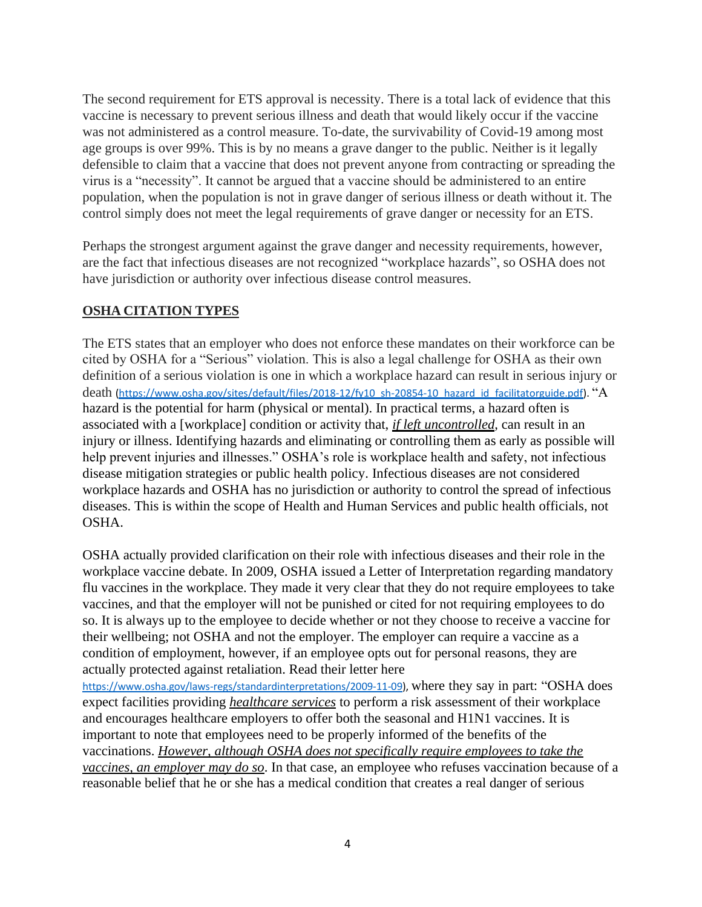The second requirement for ETS approval is necessity. There is a total lack of evidence that this vaccine is necessary to prevent serious illness and death that would likely occur if the vaccine was not administered as a control measure. To-date, the survivability of Covid-19 among most age groups is over 99%. This is by no means a grave danger to the public. Neither is it legally defensible to claim that a vaccine that does not prevent anyone from contracting or spreading the virus is a "necessity". It cannot be argued that a vaccine should be administered to an entire population, when the population is not in grave danger of serious illness or death without it. The control simply does not meet the legal requirements of grave danger or necessity for an ETS.

Perhaps the strongest argument against the grave danger and necessity requirements, however, are the fact that infectious diseases are not recognized "workplace hazards", so OSHA does not have jurisdiction or authority over infectious disease control measures.

## **OSHA CITATION TYPES**

The ETS states that an employer who does not enforce these mandates on their workforce can be cited by OSHA for a "Serious" violation. This is also a legal challenge for OSHA as their own definition of a serious violation is one in which a workplace hazard can result in serious injury or death [\(https://www.osha.gov/sites/default/files/2018-12/fy10\\_sh-20854-10\\_hazard\\_id\\_facilitatorguide.pdf\)](https://www.osha.gov/sites/default/files/2018-12/fy10_sh-20854-10_hazard_id_facilitatorguide.pdf). "A hazard is the potential for harm (physical or mental). In practical terms, a hazard often is associated with a [workplace] condition or activity that, *if left uncontrolled*, can result in an injury or illness. Identifying hazards and eliminating or controlling them as early as possible will help prevent injuries and illnesses." OSHA's role is workplace health and safety, not infectious disease mitigation strategies or public health policy. Infectious diseases are not considered workplace hazards and OSHA has no jurisdiction or authority to control the spread of infectious diseases. This is within the scope of Health and Human Services and public health officials, not OSHA.

OSHA actually provided clarification on their role with infectious diseases and their role in the workplace vaccine debate. In 2009, OSHA issued a Letter of Interpretation regarding mandatory flu vaccines in the workplace. They made it very clear that they do not require employees to take vaccines, and that the employer will not be punished or cited for not requiring employees to do so. It is always up to the employee to decide whether or not they choose to receive a vaccine for their wellbeing; not OSHA and not the employer. The employer can require a vaccine as a condition of employment, however, if an employee opts out for personal reasons, they are actually protected against retaliation. Read their letter here

[https://www.osha.gov/laws-regs/standardinterpretations/2009-11-09\)](https://www.osha.gov/laws-regs/standardinterpretations/2009-11-09), where they say in part: "OSHA does expect facilities providing *healthcare services* to perform a risk assessment of their workplace and encourages healthcare employers to offer both the seasonal and H1N1 vaccines. It is important to note that employees need to be properly informed of the benefits of the vaccinations. *However, although OSHA does not specifically require employees to take the vaccines, an employer may do so*. In that case, an employee who refuses vaccination because of a reasonable belief that he or she has a medical condition that creates a real danger of serious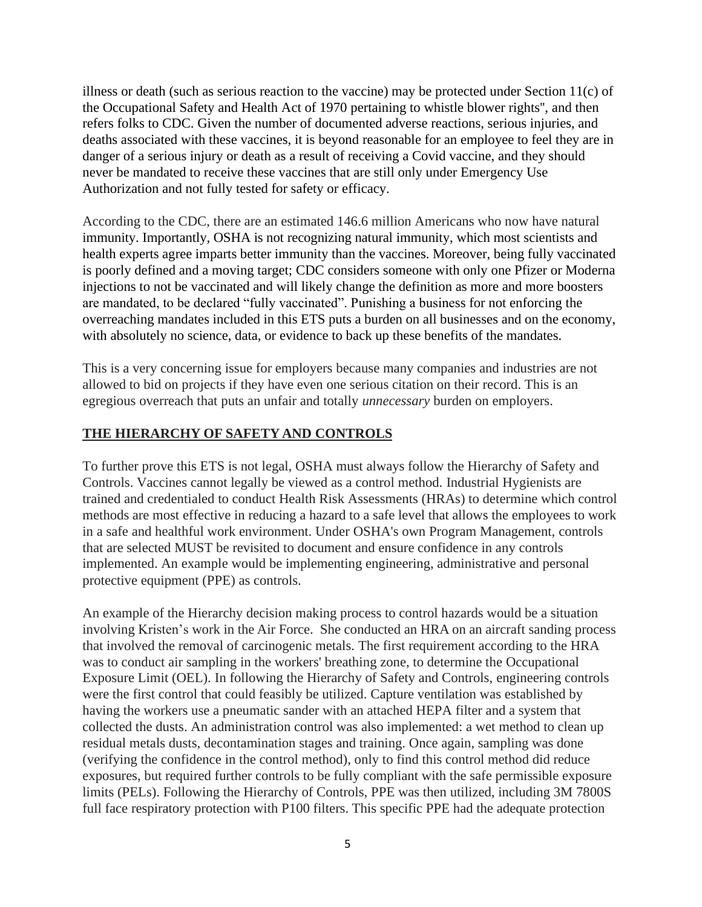illness or death (such as serious reaction to the vaccine) may be protected under Section 11(c) of the Occupational Safety and Health Act of 1970 pertaining to whistle blower rights'', and then refers folks to CDC. Given the number of documented adverse reactions, serious injuries, and deaths associated with these vaccines, it is beyond reasonable for an employee to feel they are in danger of a serious injury or death as a result of receiving a Covid vaccine, and they should never be mandated to receive these vaccines that are still only under Emergency Use Authorization and not fully tested for safety or efficacy.

According to the CDC, there are an estimated 146.6 million Americans who now have natural immunity. Importantly, OSHA is not recognizing natural immunity, which most scientists and health experts agree imparts better immunity than the vaccines. Moreover, being fully vaccinated is poorly defined and a moving target; CDC considers someone with only one Pfizer or Moderna injections to not be vaccinated and will likely change the definition as more and more boosters are mandated, to be declared "fully vaccinated". Punishing a business for not enforcing the overreaching mandates included in this ETS puts a burden on all businesses and on the economy, with absolutely no science, data, or evidence to back up these benefits of the mandates.

This is a very concerning issue for employers because many companies and industries are not allowed to bid on projects if they have even one serious citation on their record. This is an egregious overreach that puts an unfair and totally *unnecessary* burden on employers.

### **THE HIERARCHY OF SAFETY AND CONTROLS**

To further prove this ETS is not legal, OSHA must always follow the Hierarchy of Safety and Controls. Vaccines cannot legally be viewed as a control method. Industrial Hygienists are trained and credentialed to conduct Health Risk Assessments (HRAs) to determine which control methods are most effective in reducing a hazard to a safe level that allows the employees to work in a safe and healthful work environment. Under OSHA's own Program Management, controls that are selected MUST be revisited to document and ensure confidence in any controls implemented. An example would be implementing engineering, administrative and personal protective equipment (PPE) as controls.

An example of the Hierarchy decision making process to control hazards would be a situation involving Kristen's work in the Air Force. She conducted an HRA on an aircraft sanding process that involved the removal of carcinogenic metals. The first requirement according to the HRA was to conduct air sampling in the workers' breathing zone, to determine the Occupational Exposure Limit (OEL). In following the Hierarchy of Safety and Controls, engineering controls were the first control that could feasibly be utilized. Capture ventilation was established by having the workers use a pneumatic sander with an attached HEPA filter and a system that collected the dusts. An administration control was also implemented: a wet method to clean up residual metals dusts, decontamination stages and training. Once again, sampling was done (verifying the confidence in the control method), only to find this control method did reduce exposures, but required further controls to be fully compliant with the safe permissible exposure limits (PELs). Following the Hierarchy of Controls, PPE was then utilized, including 3M 7800S full face respiratory protection with P100 filters. This specific PPE had the adequate protection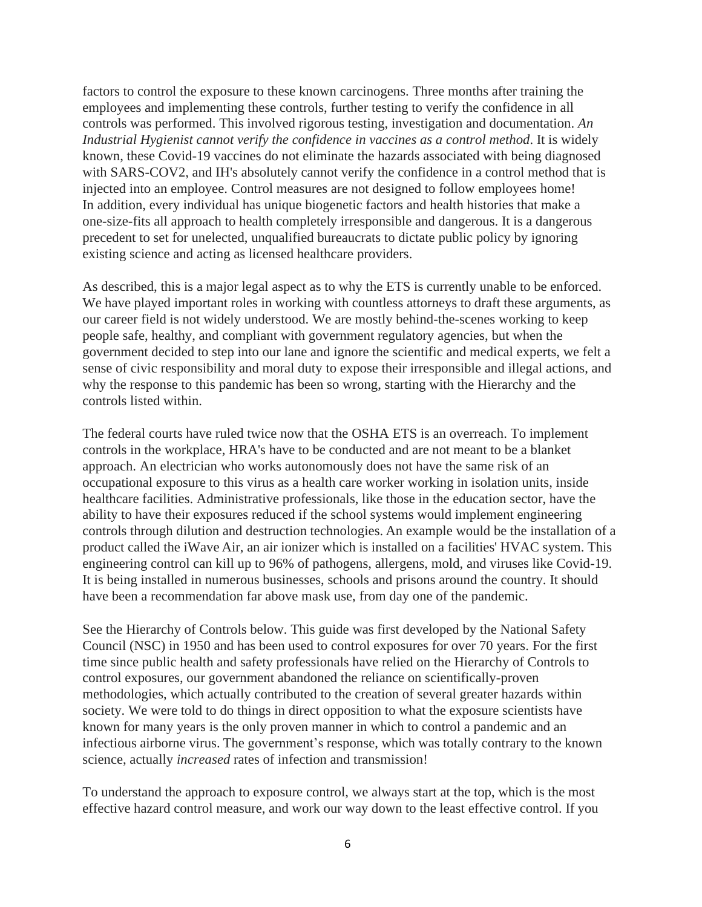factors to control the exposure to these known carcinogens. Three months after training the employees and implementing these controls, further testing to verify the confidence in all controls was performed. This involved rigorous testing, investigation and documentation. *An Industrial Hygienist cannot verify the confidence in vaccines as a control method*. It is widely known, these Covid-19 vaccines do not eliminate the hazards associated with being diagnosed with SARS-COV2, and IH's absolutely cannot verify the confidence in a control method that is injected into an employee. Control measures are not designed to follow employees home! In addition, every individual has unique biogenetic factors and health histories that make a one-size-fits all approach to health completely irresponsible and dangerous. It is a dangerous precedent to set for unelected, unqualified bureaucrats to dictate public policy by ignoring existing science and acting as licensed healthcare providers.

As described, this is a major legal aspect as to why the ETS is currently unable to be enforced. We have played important roles in working with countless attorneys to draft these arguments, as our career field is not widely understood. We are mostly behind-the-scenes working to keep people safe, healthy, and compliant with government regulatory agencies, but when the government decided to step into our lane and ignore the scientific and medical experts, we felt a sense of civic responsibility and moral duty to expose their irresponsible and illegal actions, and why the response to this pandemic has been so wrong, starting with the Hierarchy and the controls listed within.

The federal courts have ruled twice now that the OSHA ETS is an overreach. To implement controls in the workplace, HRA's have to be conducted and are not meant to be a blanket approach. An electrician who works autonomously does not have the same risk of an occupational exposure to this virus as a health care worker working in isolation units, inside healthcare facilities. Administrative professionals, like those in the education sector, have the ability to have their exposures reduced if the school systems would implement engineering controls through dilution and destruction technologies. An example would be the installation of a product called the iWave Air, an air ionizer which is installed on a facilities' HVAC system. This engineering control can kill up to 96% of pathogens, allergens, mold, and viruses like Covid-19. It is being installed in numerous businesses, schools and prisons around the country. It should have been a recommendation far above mask use, from day one of the pandemic.

See the Hierarchy of Controls below. This guide was first developed by the National Safety Council (NSC) in 1950 and has been used to control exposures for over 70 years. For the first time since public health and safety professionals have relied on the Hierarchy of Controls to control exposures, our government abandoned the reliance on scientifically-proven methodologies, which actually contributed to the creation of several greater hazards within society. We were told to do things in direct opposition to what the exposure scientists have known for many years is the only proven manner in which to control a pandemic and an infectious airborne virus. The government's response, which was totally contrary to the known science, actually *increased* rates of infection and transmission!

To understand the approach to exposure control, we always start at the top, which is the most effective hazard control measure, and work our way down to the least effective control. If you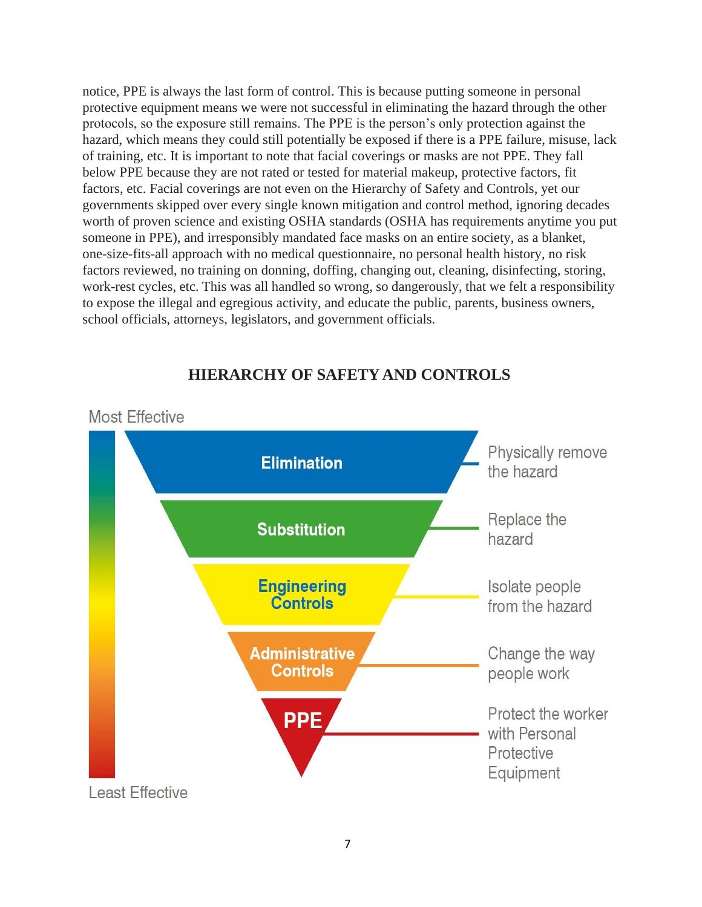notice, PPE is always the last form of control. This is because putting someone in personal protective equipment means we were not successful in eliminating the hazard through the other protocols, so the exposure still remains. The PPE is the person's only protection against the hazard, which means they could still potentially be exposed if there is a PPE failure, misuse, lack of training, etc. It is important to note that facial coverings or masks are not PPE. They fall below PPE because they are not rated or tested for material makeup, protective factors, fit factors, etc. Facial coverings are not even on the Hierarchy of Safety and Controls, yet our governments skipped over every single known mitigation and control method, ignoring decades worth of proven science and existing OSHA standards (OSHA has requirements anytime you put someone in PPE), and irresponsibly mandated face masks on an entire society, as a blanket, one-size-fits-all approach with no medical questionnaire, no personal health history, no risk factors reviewed, no training on donning, doffing, changing out, cleaning, disinfecting, storing, work-rest cycles, etc. This was all handled so wrong, so dangerously, that we felt a responsibility to expose the illegal and egregious activity, and educate the public, parents, business owners, school officials, attorneys, legislators, and government officials.



# **HIERARCHY OF SAFETY AND CONTROLS**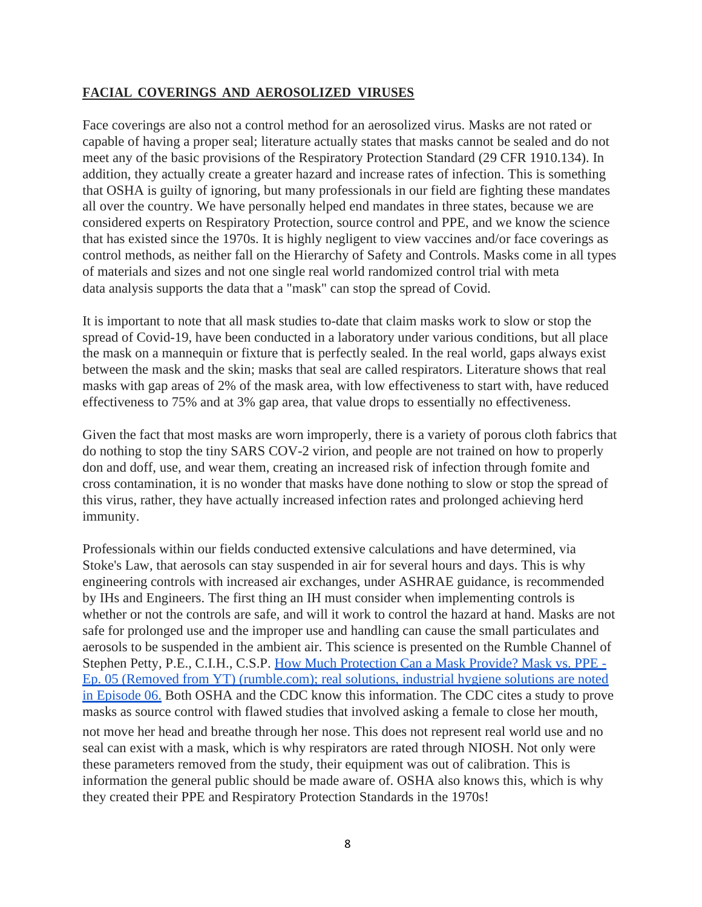## **FACIAL COVERINGS AND AEROSOLIZED VIRUSES**

Face coverings are also not a control method for an aerosolized virus. Masks are not rated or capable of having a proper seal; literature actually states that masks cannot be sealed and do not meet any of the basic provisions of the Respiratory Protection Standard (29 CFR 1910.134). In addition, they actually create a greater hazard and increase rates of infection. This is something that OSHA is guilty of ignoring, but many professionals in our field are fighting these mandates all over the country. We have personally helped end mandates in three states, because we are considered experts on Respiratory Protection, source control and PPE, and we know the science that has existed since the 1970s. It is highly negligent to view vaccines and/or face coverings as control methods, as neither fall on the Hierarchy of Safety and Controls. Masks come in all types of materials and sizes and not one single real world randomized control trial with meta data analysis supports the data that a "mask" can stop the spread of Covid.

It is important to note that all mask studies to-date that claim masks work to slow or stop the spread of Covid-19, have been conducted in a laboratory under various conditions, but all place the mask on a mannequin or fixture that is perfectly sealed. In the real world, gaps always exist between the mask and the skin; masks that seal are called respirators. Literature shows that real masks with gap areas of 2% of the mask area, with low effectiveness to start with, have reduced effectiveness to 75% and at 3% gap area, that value drops to essentially no effectiveness.

Given the fact that most masks are worn improperly, there is a variety of porous cloth fabrics that do nothing to stop the tiny SARS COV-2 virion, and people are not trained on how to properly don and doff, use, and wear them, creating an increased risk of infection through fomite and cross contamination, it is no wonder that masks have done nothing to slow or stop the spread of this virus, rather, they have actually increased infection rates and prolonged achieving herd immunity.

Professionals within our fields conducted extensive calculations and have determined, via Stoke's Law, that aerosols can stay suspended in air for several hours and days. This is why engineering controls with increased air exchanges, under ASHRAE guidance, is recommended by IHs and Engineers. The first thing an IH must consider when implementing controls is whether or not the controls are safe, and will it work to control the hazard at hand. Masks are not safe for prolonged use and the improper use and handling can cause the small particulates and aerosols to be suspended in the ambient air. This science is presented on the Rumble Channel of Stephen Petty, P.E., C.I.H., C.S.P. [How Much Protection Can a Mask Provide? Mask vs. PPE -](https://rumble.com/vlbs0d-how-much-protection-can-a-mask-provide-mask-vs.-ppe-ep.-05-removed-from-yt.html) [Ep. 05 \(Removed from YT\) \(rumble.com\);](https://rumble.com/vlbs0d-how-much-protection-can-a-mask-provide-mask-vs.-ppe-ep.-05-removed-from-yt.html) real solutions, industrial hygiene solutions are noted in Episode 06. Both OSHA and the CDC know this information. The CDC cites a study to prove masks as source control with flawed studies that involved asking a female to close her mouth, not move her head and breathe through her nose. This does not represent real world use and no seal can exist with a mask, which is why respirators are rated through NIOSH. Not only were these parameters removed from the study, their equipment was out of calibration. This is information the general public should be made aware of. OSHA also knows this, which is why they created their PPE and Respiratory Protection Standards in the 1970s!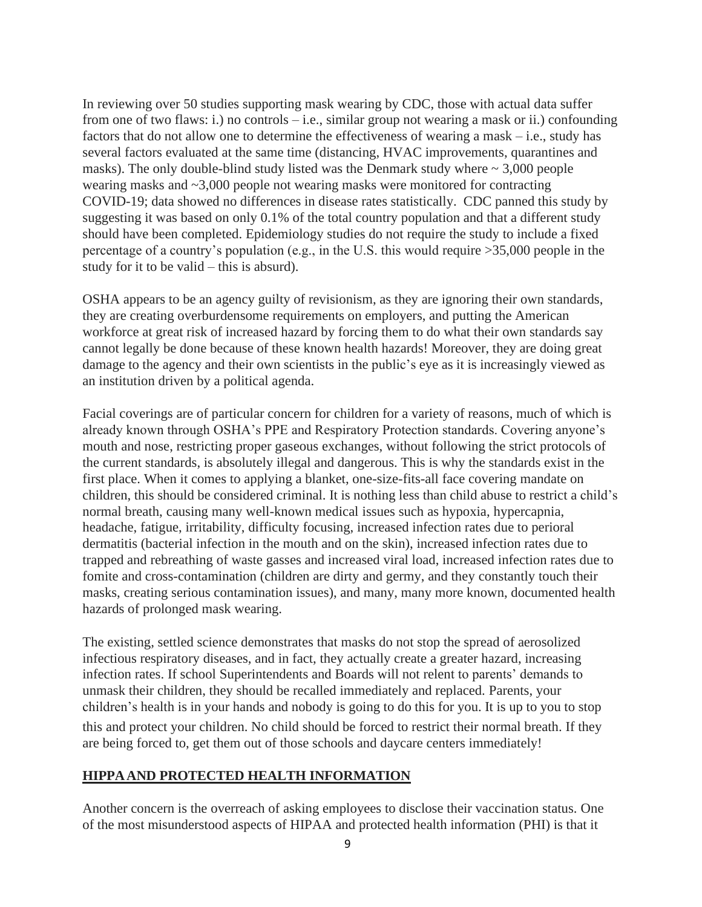In reviewing over 50 studies supporting mask wearing by CDC, those with actual data suffer from one of two flaws: i.) no controls – i.e., similar group not wearing a mask or ii.) confounding factors that do not allow one to determine the effectiveness of wearing a mask – i.e., study has several factors evaluated at the same time (distancing, HVAC improvements, quarantines and masks). The only double-blind study listed was the Denmark study where  $\sim 3,000$  people wearing masks and ~3,000 people not wearing masks were monitored for contracting COVID-19; data showed no differences in disease rates statistically. CDC panned this study by suggesting it was based on only 0.1% of the total country population and that a different study should have been completed. Epidemiology studies do not require the study to include a fixed percentage of a country's population (e.g., in the U.S. this would require >35,000 people in the study for it to be valid – this is absurd).

OSHA appears to be an agency guilty of revisionism, as they are ignoring their own standards, they are creating overburdensome requirements on employers, and putting the American workforce at great risk of increased hazard by forcing them to do what their own standards say cannot legally be done because of these known health hazards! Moreover, they are doing great damage to the agency and their own scientists in the public's eye as it is increasingly viewed as an institution driven by a political agenda.

Facial coverings are of particular concern for children for a variety of reasons, much of which is already known through OSHA's PPE and Respiratory Protection standards. Covering anyone's mouth and nose, restricting proper gaseous exchanges, without following the strict protocols of the current standards, is absolutely illegal and dangerous. This is why the standards exist in the first place. When it comes to applying a blanket, one-size-fits-all face covering mandate on children, this should be considered criminal. It is nothing less than child abuse to restrict a child's normal breath, causing many well-known medical issues such as hypoxia, hypercapnia, headache, fatigue, irritability, difficulty focusing, increased infection rates due to perioral dermatitis (bacterial infection in the mouth and on the skin), increased infection rates due to trapped and rebreathing of waste gasses and increased viral load, increased infection rates due to fomite and cross-contamination (children are dirty and germy, and they constantly touch their masks, creating serious contamination issues), and many, many more known, documented health hazards of prolonged mask wearing.

The existing, settled science demonstrates that masks do not stop the spread of aerosolized infectious respiratory diseases, and in fact, they actually create a greater hazard, increasing infection rates. If school Superintendents and Boards will not relent to parents' demands to unmask their children, they should be recalled immediately and replaced. Parents, your children's health is in your hands and nobody is going to do this for you. It is up to you to stop this and protect your children. No child should be forced to restrict their normal breath. If they are being forced to, get them out of those schools and daycare centers immediately!

### **HIPPAAND PROTECTED HEALTH INFORMATION**

Another concern is the overreach of asking employees to disclose their vaccination status. One of the most misunderstood aspects of HIPAA and protected health information (PHI) is that it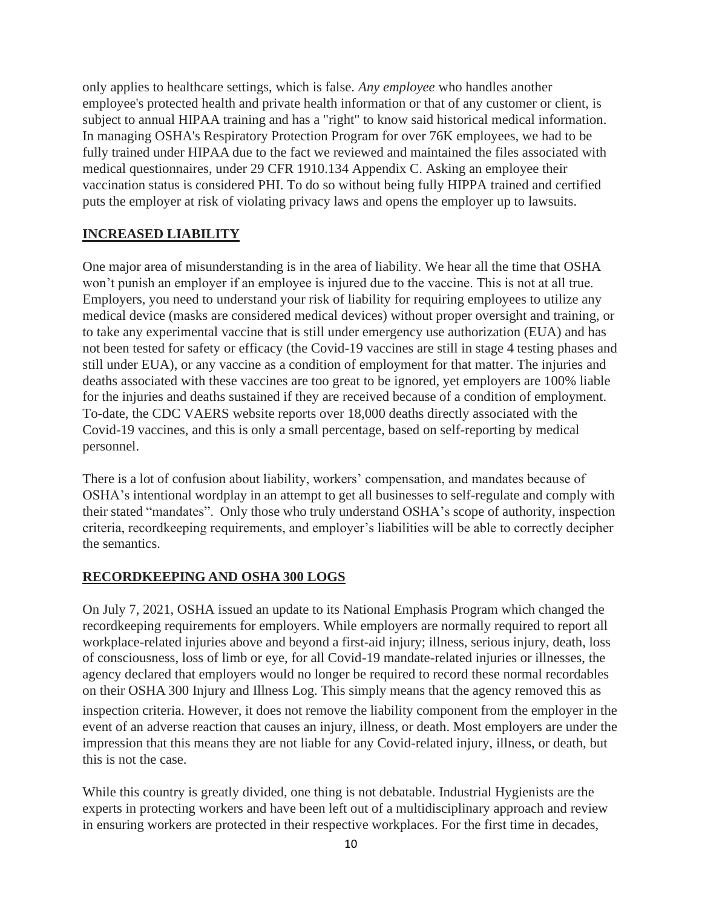only applies to healthcare settings, which is false. *Any employee* who handles another employee's protected health and private health information or that of any customer or client, is subject to annual HIPAA training and has a "right" to know said historical medical information. In managing OSHA's Respiratory Protection Program for over 76K employees, we had to be fully trained under HIPAA due to the fact we reviewed and maintained the files associated with medical questionnaires, under 29 CFR 1910.134 Appendix C. Asking an employee their vaccination status is considered PHI. To do so without being fully HIPPA trained and certified puts the employer at risk of violating privacy laws and opens the employer up to lawsuits.

## **INCREASED LIABILITY**

One major area of misunderstanding is in the area of liability. We hear all the time that OSHA won't punish an employer if an employee is injured due to the vaccine. This is not at all true. Employers, you need to understand your risk of liability for requiring employees to utilize any medical device (masks are considered medical devices) without proper oversight and training, or to take any experimental vaccine that is still under emergency use authorization (EUA) and has not been tested for safety or efficacy (the Covid-19 vaccines are still in stage 4 testing phases and still under EUA), or any vaccine as a condition of employment for that matter. The injuries and deaths associated with these vaccines are too great to be ignored, yet employers are 100% liable for the injuries and deaths sustained if they are received because of a condition of employment. To-date, the CDC VAERS website reports over 18,000 deaths directly associated with the Covid-19 vaccines, and this is only a small percentage, based on self-reporting by medical personnel.

There is a lot of confusion about liability, workers' compensation, and mandates because of OSHA's intentional wordplay in an attempt to get all businesses to self-regulate and comply with their stated "mandates". Only those who truly understand OSHA's scope of authority, inspection criteria, recordkeeping requirements, and employer's liabilities will be able to correctly decipher the semantics.

## **RECORDKEEPING AND OSHA 300 LOGS**

On July 7, 2021, OSHA issued an update to its National Emphasis Program which changed the recordkeeping requirements for employers. While employers are normally required to report all workplace-related injuries above and beyond a first-aid injury; illness, serious injury, death, loss of consciousness, loss of limb or eye, for all Covid-19 mandate-related injuries or illnesses, the agency declared that employers would no longer be required to record these normal recordables on their OSHA 300 Injury and Illness Log. This simply means that the agency removed this as

inspection criteria. However, it does not remove the liability component from the employer in the event of an adverse reaction that causes an injury, illness, or death. Most employers are under the impression that this means they are not liable for any Covid-related injury, illness, or death, but this is not the case.

While this country is greatly divided, one thing is not debatable. Industrial Hygienists are the experts in protecting workers and have been left out of a multidisciplinary approach and review in ensuring workers are protected in their respective workplaces. For the first time in decades,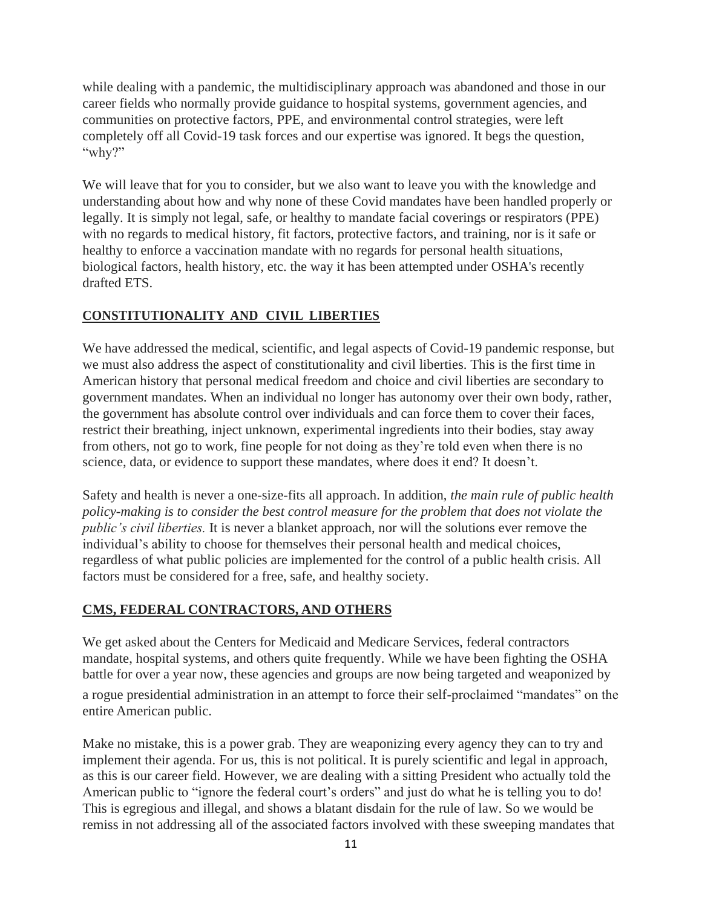while dealing with a pandemic, the multidisciplinary approach was abandoned and those in our career fields who normally provide guidance to hospital systems, government agencies, and communities on protective factors, PPE, and environmental control strategies, were left completely off all Covid-19 task forces and our expertise was ignored. It begs the question, "why?"

We will leave that for you to consider, but we also want to leave you with the knowledge and understanding about how and why none of these Covid mandates have been handled properly or legally. It is simply not legal, safe, or healthy to mandate facial coverings or respirators (PPE) with no regards to medical history, fit factors, protective factors, and training, nor is it safe or healthy to enforce a vaccination mandate with no regards for personal health situations, biological factors, health history, etc. the way it has been attempted under OSHA's recently drafted ETS.

## **CONSTITUTIONALITY AND CIVIL LIBERTIES**

We have addressed the medical, scientific, and legal aspects of Covid-19 pandemic response, but we must also address the aspect of constitutionality and civil liberties. This is the first time in American history that personal medical freedom and choice and civil liberties are secondary to government mandates. When an individual no longer has autonomy over their own body, rather, the government has absolute control over individuals and can force them to cover their faces, restrict their breathing, inject unknown, experimental ingredients into their bodies, stay away from others, not go to work, fine people for not doing as they're told even when there is no science, data, or evidence to support these mandates, where does it end? It doesn't.

Safety and health is never a one-size-fits all approach. In addition, *the main rule of public health policy-making is to consider the best control measure for the problem that does not violate the public's civil liberties.* It is never a blanket approach, nor will the solutions ever remove the individual's ability to choose for themselves their personal health and medical choices, regardless of what public policies are implemented for the control of a public health crisis. All factors must be considered for a free, safe, and healthy society.

## **CMS, FEDERAL CONTRACTORS, AND OTHERS**

We get asked about the Centers for Medicaid and Medicare Services, federal contractors mandate, hospital systems, and others quite frequently. While we have been fighting the OSHA battle for over a year now, these agencies and groups are now being targeted and weaponized by a rogue presidential administration in an attempt to force their self-proclaimed "mandates" on the entire American public.

Make no mistake, this is a power grab. They are weaponizing every agency they can to try and implement their agenda. For us, this is not political. It is purely scientific and legal in approach, as this is our career field. However, we are dealing with a sitting President who actually told the American public to "ignore the federal court's orders" and just do what he is telling you to do! This is egregious and illegal, and shows a blatant disdain for the rule of law. So we would be remiss in not addressing all of the associated factors involved with these sweeping mandates that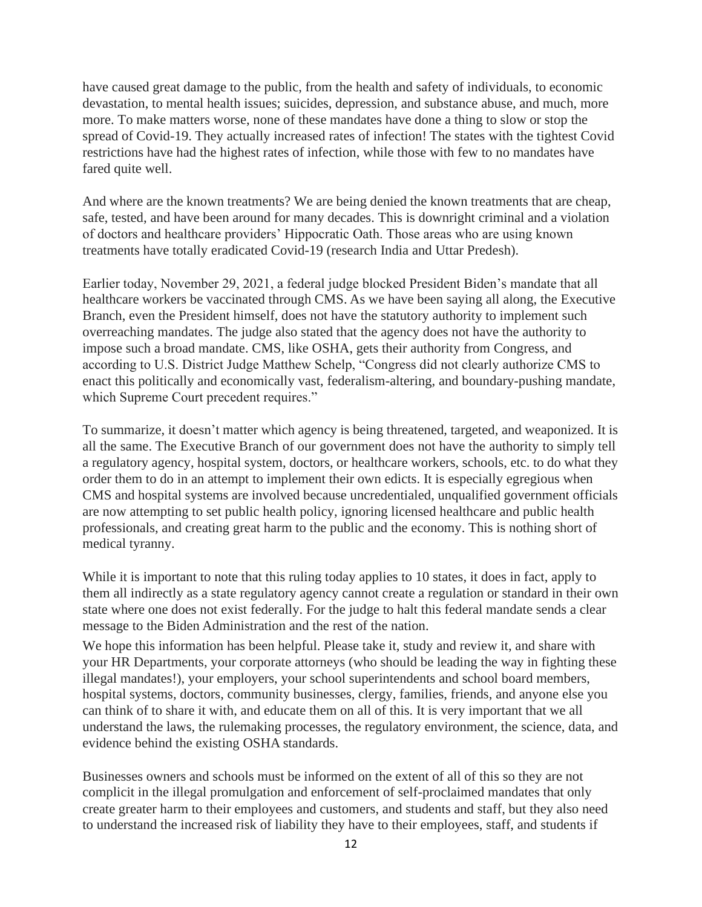have caused great damage to the public, from the health and safety of individuals, to economic devastation, to mental health issues; suicides, depression, and substance abuse, and much, more more. To make matters worse, none of these mandates have done a thing to slow or stop the spread of Covid-19. They actually increased rates of infection! The states with the tightest Covid restrictions have had the highest rates of infection, while those with few to no mandates have fared quite well.

And where are the known treatments? We are being denied the known treatments that are cheap, safe, tested, and have been around for many decades. This is downright criminal and a violation of doctors and healthcare providers' Hippocratic Oath. Those areas who are using known treatments have totally eradicated Covid-19 (research India and Uttar Predesh).

Earlier today, November 29, 2021, a federal judge blocked President Biden's mandate that all healthcare workers be vaccinated through CMS. As we have been saying all along, the Executive Branch, even the President himself, does not have the statutory authority to implement such overreaching mandates. The judge also stated that the agency does not have the authority to impose such a broad mandate. CMS, like OSHA, gets their authority from Congress, and according to U.S. District Judge Matthew Schelp, "Congress did not clearly authorize CMS to enact this politically and economically vast, federalism-altering, and boundary-pushing mandate, which Supreme Court precedent requires."

To summarize, it doesn't matter which agency is being threatened, targeted, and weaponized. It is all the same. The Executive Branch of our government does not have the authority to simply tell a regulatory agency, hospital system, doctors, or healthcare workers, schools, etc. to do what they order them to do in an attempt to implement their own edicts. It is especially egregious when CMS and hospital systems are involved because uncredentialed, unqualified government officials are now attempting to set public health policy, ignoring licensed healthcare and public health professionals, and creating great harm to the public and the economy. This is nothing short of medical tyranny.

While it is important to note that this ruling today applies to 10 states, it does in fact, apply to them all indirectly as a state regulatory agency cannot create a regulation or standard in their own state where one does not exist federally. For the judge to halt this federal mandate sends a clear message to the Biden Administration and the rest of the nation.

We hope this information has been helpful. Please take it, study and review it, and share with your HR Departments, your corporate attorneys (who should be leading the way in fighting these illegal mandates!), your employers, your school superintendents and school board members, hospital systems, doctors, community businesses, clergy, families, friends, and anyone else you can think of to share it with, and educate them on all of this. It is very important that we all understand the laws, the rulemaking processes, the regulatory environment, the science, data, and evidence behind the existing OSHA standards.

Businesses owners and schools must be informed on the extent of all of this so they are not complicit in the illegal promulgation and enforcement of self-proclaimed mandates that only create greater harm to their employees and customers, and students and staff, but they also need to understand the increased risk of liability they have to their employees, staff, and students if